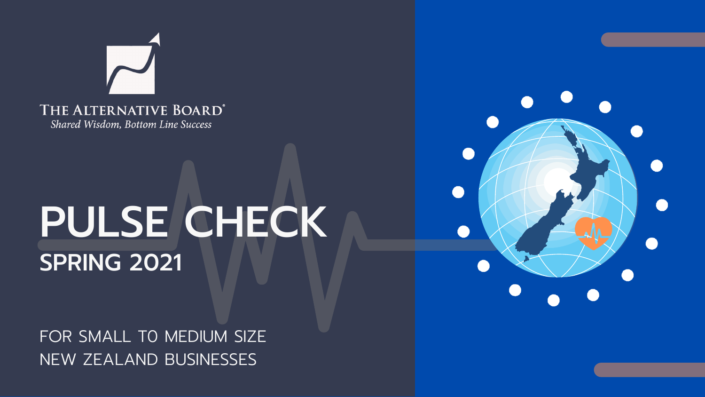

Shared Wisdom, Bottom Line Success

# PULSE CHECK SPRING 2021

FOR SMALL TO MEDIUM SIZE NEW ZEALAND BUSINESSES

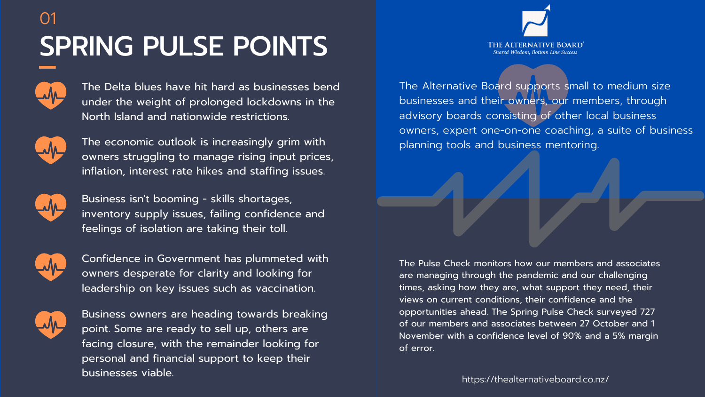### SPRING PULSE POINTS 01



https://thealternativeboard.co.nz/

The Pulse Check monitors how our members and associates are managing through the pandemic and our challenging times, asking how they are, what support they need, their views on current conditions, their confidence and the opportunities ahead. The Spring Pulse Check surveyed 727 of our members and associates between 27 October and 1 November with a confidence level of 90% and a 5% margin

The Alternative Board supports small to medium size businesses and their owners, our members, through advisory boards consisting of other local business owners, expert one-on-one coaching, a suite of business planning tools and business mentoring.

of error.



The Delta blues have hit hard as businesses bend under the weight of prolonged lockdowns in the North Island and nationwide restrictions.



The economic outlook is increasingly grim with owners struggling to manage rising input prices, inflation, interest rate hikes and staffing issues.



Business isn't booming - skills shortages, inventory supply issues, failing confidence and feelings of isolation are taking their toll.



Confidence in Government has plummeted with owners desperate for clarity and looking for leadership on key issues such as vaccination.



Business owners are heading towards breaking point. Some are ready to sell up, others are facing closure, with the remainder looking for personal and financial support to keep their businesses viable.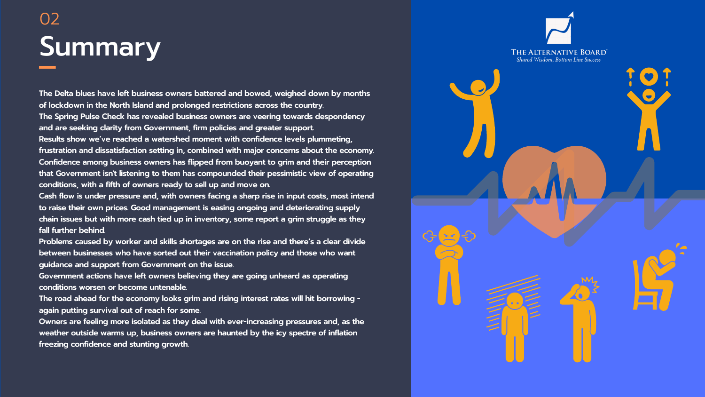## Summary 02

**The Delta blues have left business owners battered and bowed, weighed down by months of lockdown in the North Island and prolonged restrictions across the country. The Spring Pulse Check has revealed business owners are veering towards despondency and are seeking clarity from Government, firm policies and greater support. Results show we've reached a watershed moment with confidence levels plummeting, frustration and dissatisfaction setting in, combined with major concerns about the economy. Confidence among business owners has flipped from buoyant to grim and their perception that Government isn't listening to them has compounded their pessimistic view of operating conditions, with a fifth of owners ready to sell up and move on.**

**Cash flow is under pressure and, with owners facing a sharp rise in input costs, most intend to raise their own prices. Good management is easing ongoing and deteriorating supply chain issues but with more cash tied up in inventory, some report a grim struggle as they fall further behind.**

**Problems caused by worker and skills shortages are on the rise and there's a clear divide between businesses who have sorted out their vaccination policy and those who want guidance and support from Government on the issue.**

**Government actions have left owners believing they are going unheard as operating conditions worsen or become untenable.**

**The road ahead for the economy looks grim and rising interest rates will hit borrowing again putting survival out of reach for some.**

**Owners are feeling more isolated as they deal with ever-increasing pressures and, as the weather outside warms up, business owners are haunted by the icy spectre of inflation freezing confidence and stunting growth.**



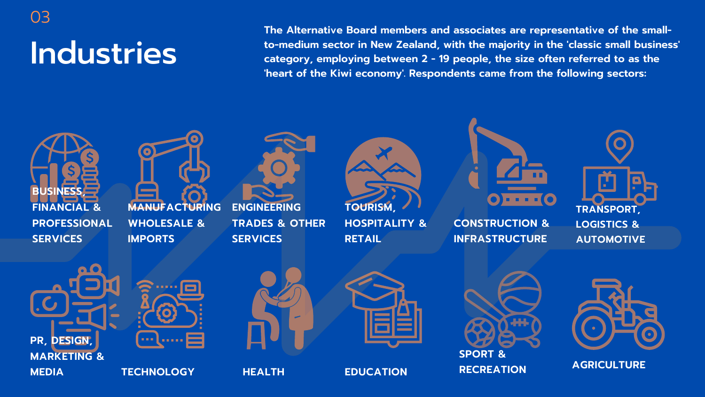Industries

03

**The Alternative Board members and associates are representative of the smallto-medium sector in New Zealand, with the majority in the 'classic small business' category, employing between 2 - 19 people, the size often referred to as the 'heart of the Kiwi economy'. Respondents came from the following sectors:**









#### **CONSTRUCTION & INFRASTRUCTURE**













**AGRICULTURE HEALTH EDUCATION SPORT & RECREATION**

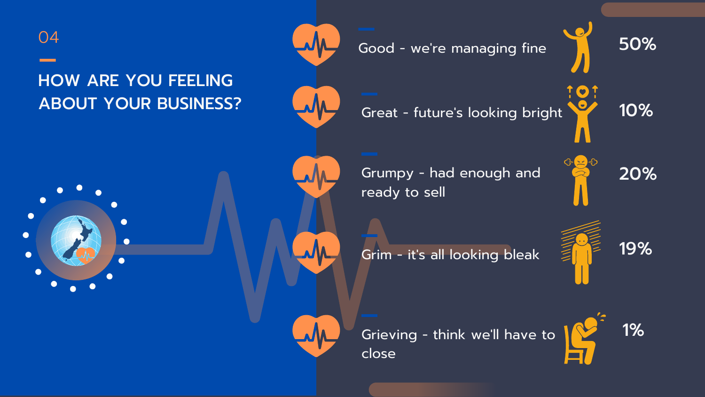Good - we 're managing fine

Grumpy - had enough and ready to sell



Grim - it' s all looking bleak



Great - future 's looking bright



Grieving - think we 'll have to



close

50%



10%

19%



 $\bullet$ 

 $\bullet$ 

 $\bullet$ 

### HOW ARE YOU FEELING ABOUT YOUR BUSINESS?

 $\bullet$ 



20%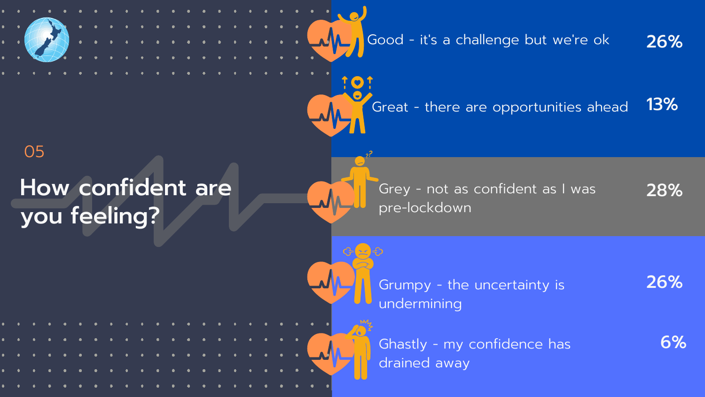

Ghastly - my confidence has drained away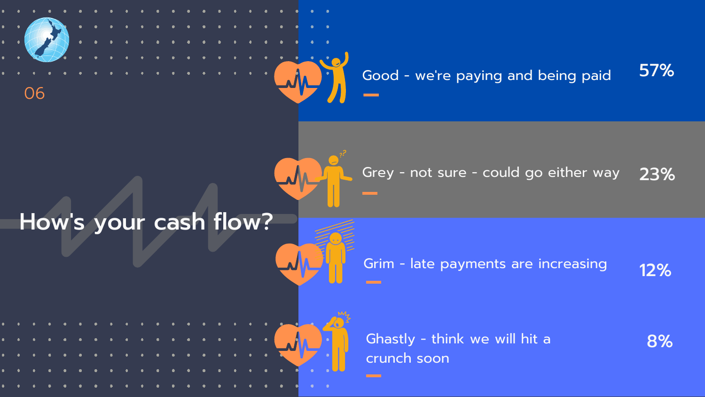#### Good - we 're paying and being paid 57%



#### Grey - not sure - could go either way 23%

#### Grim - late payments are increasing 12%

Ghastly - think we will hit a

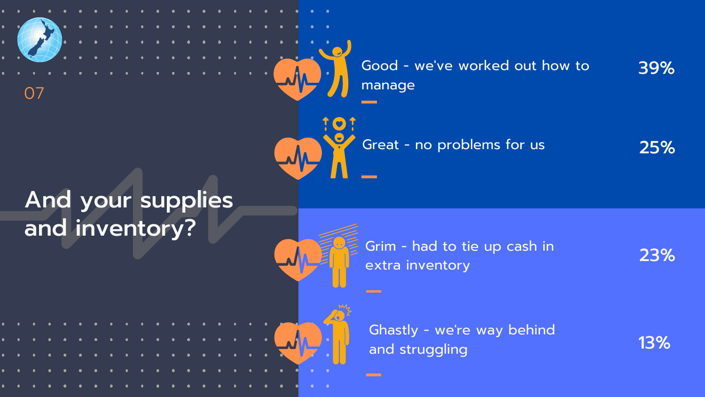Good - we 'manage

And your supplies and inventory?

### ve worked out how to



Great - no problems for us

Grim - had to tie up cash in

extra inventory

**Contract** 

Ghastly - we 're way behind and struggling

### 39%





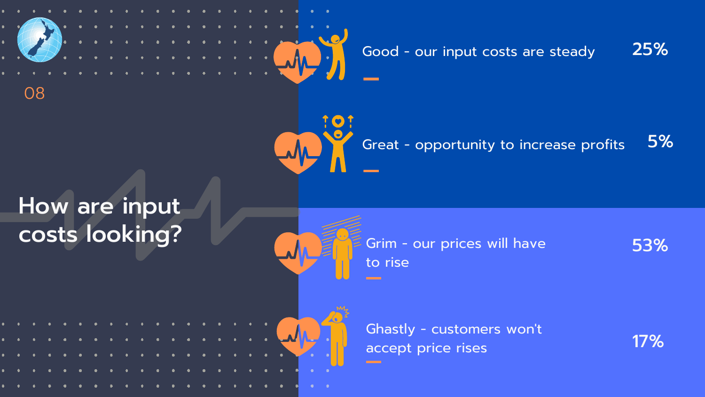## How are input costs looking?





#### Good - our input costs are steady 25%

Grim - our prices will have

#### Great - opportunity to increase profits 5%

to rise

Ghastly - customers won 't accept price rises

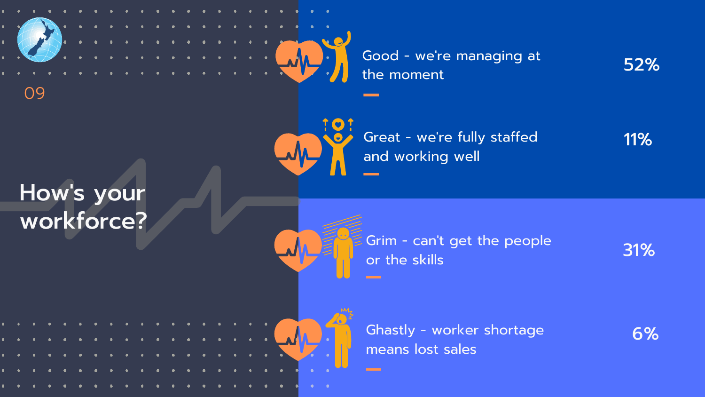

Good - we 're managing at the moment

### How 's your workforce?



09



Great - we 're fully staffed and working well

Grim - can 't get the people or the skills

Ghastly - worker shortage means lost sales

52%

11%

31%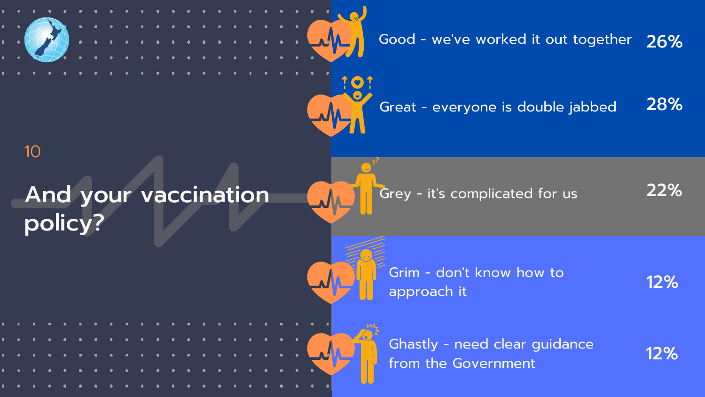

Grey - it' s complicated for us

#### ve worked it out together 26%

Grim - don 't know how to

Ghastly - need clear guidance from the Government

22%

12%

12%

### Great - everyone is double jabbed 28%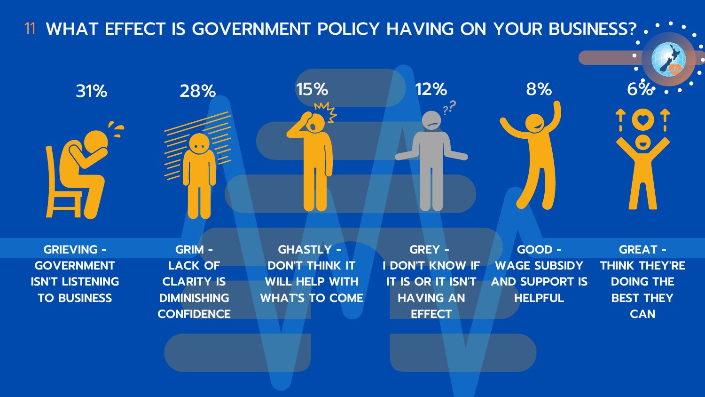**GREY - I DON'T KNOW IF IT IS OR IT ISN'T HAVING AN EFFECT**

**GHASTLY - DON'T THINK IT WILL HELP WITH WHAT'S TO COME**

**GRIM - LACK OF CLARITY IS DIMINISHING CONFIDENCE**

### 11 WHAT EFFECT IS GOVERNMENT POLICY HAVING ON YOUR BUSINESS?



**GREAT - THINK THEY'RE DOING THE BEST THEY CAN**

 $\bullet$ 

**GOOD - WAGE SUBSIDY AND SUPPORT IS HELPFUL**

**GRIEVING - GOVERNMENT ISN'T LISTENING TO BUSINESS**

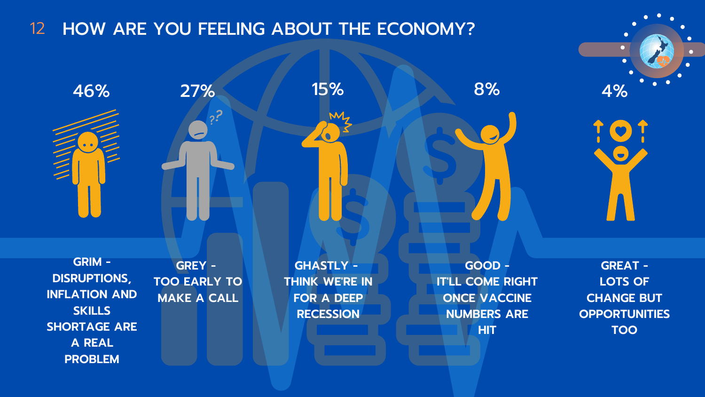**GREY - TOO EARLY TO MAKE A CALL**

**GHASTLY - THINK WE'RE IN FOR A DEEP RECESSION**

M

 $\bullet$ 



**GRIM - DISRUPTIONS, INFLATION AND SKILLS SHORTAGE ARE A REAL PROBLEM**

### 12 HOW ARE YOU FEELING ABOUT THE ECONOMY?

 $\overline{\mathbf{z}}$ 



**GREAT - LOTS OF CHANGE BUT OPPORTUNITIES TOO**

**GOOD - IT'LL COME RIGHT ONCE VACCINE NUMBERS ARE HIT**



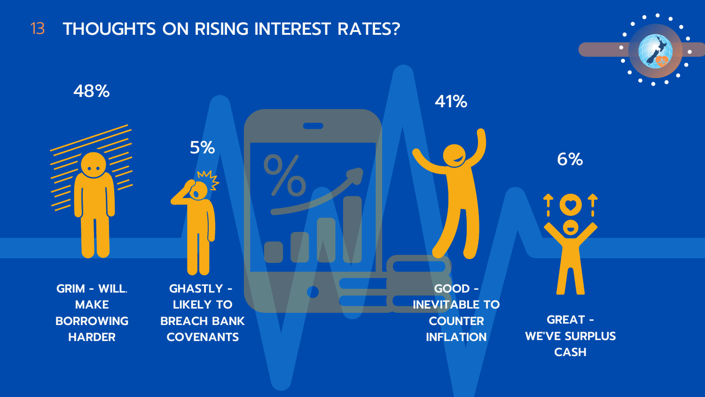**GHASTLY - LIKELY TO BREACH BANK COVENANTS**

**GRIM - WILL. MAKE BORROWING HARDER**

#### 13 THOUGHTS ON RISING INTEREST RATES?

**GREAT - WE'VE SURPLUS CASH**



**INEVITABLE TO COUNTER INFLATION**

48%

5%

41%



 $\bullet$ 

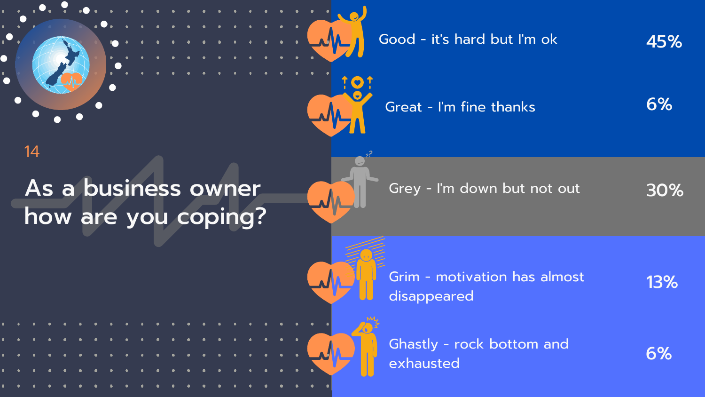Good - it' s hard but I' m ok

Grey - I' m down but not out



Grim - motivation has almost

Ghastly - rock bottom and exhausted

45%

Great - I'm fine thanks 6%





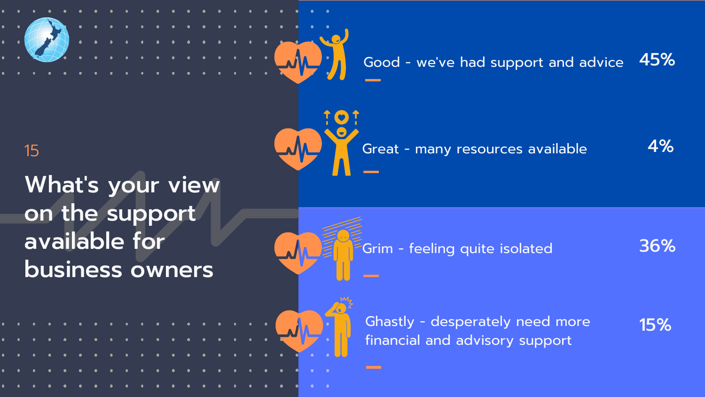

## What's your view on the support available for business owners





#### ve had support and advice 45%



Ghastly - desperately need more financial and advisory support

4%